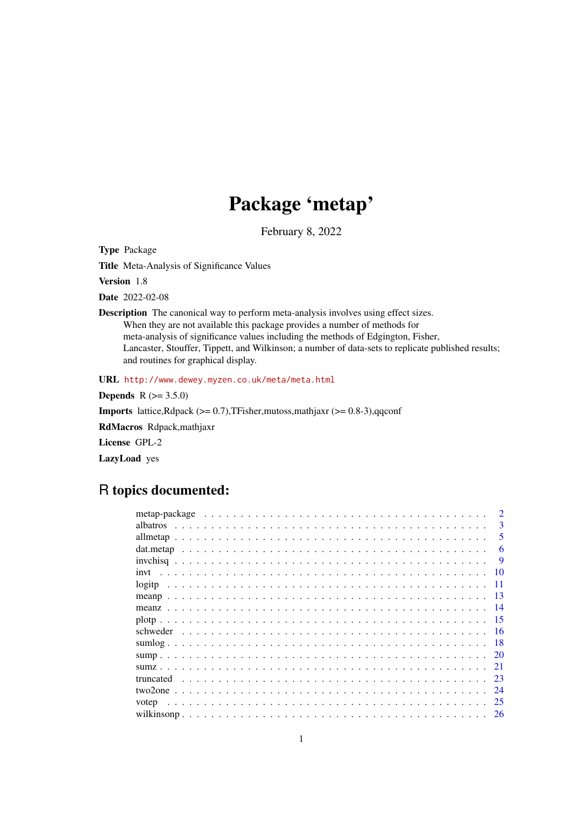# Package 'metap'

February 8, 2022

<span id="page-0-0"></span>Type Package

Title Meta-Analysis of Significance Values

Version 1.8

Date 2022-02-08

Description The canonical way to perform meta-analysis involves using effect sizes. When they are not available this package provides a number of methods for meta-analysis of significance values including the methods of Edgington, Fisher, Lancaster, Stouffer, Tippett, and Wilkinson; a number of data-sets to replicate published results; and routines for graphical display.

URL <http://www.dewey.myzen.co.uk/meta/meta.html>

**Depends** R  $(>= 3.5.0)$ 

Imports lattice,Rdpack (>= 0.7),TFisher,mutoss,mathjaxr (>= 0.8-3),qqconf

RdMacros Rdpack,mathjaxr

License GPL-2

LazyLoad yes

# R topics documented:

| <i>albatros</i> | 3         |
|-----------------|-----------|
|                 | 5         |
|                 | 6         |
|                 | <b>9</b>  |
|                 | 10        |
|                 | 11        |
| meanp           | -13       |
| meanz           |           |
|                 | -15       |
|                 |           |
|                 | 18        |
|                 |           |
|                 | 21        |
| truncated       | 23        |
|                 | 24        |
| votep           | 25        |
|                 | <b>26</b> |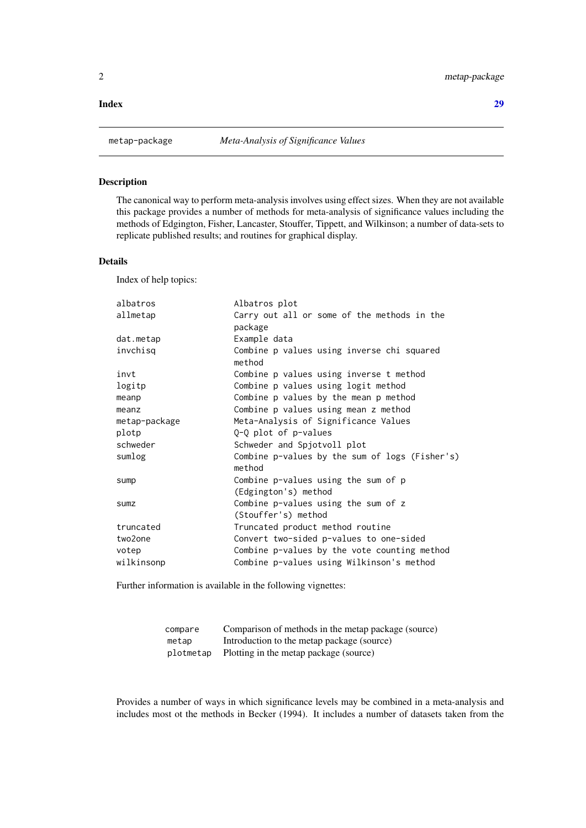#### <span id="page-1-0"></span>**Index** [29](#page-28-0)

# Description

The canonical way to perform meta-analysis involves using effect sizes. When they are not available this package provides a number of methods for meta-analysis of significance values including the methods of Edgington, Fisher, Lancaster, Stouffer, Tippett, and Wilkinson; a number of data-sets to replicate published results; and routines for graphical display.

# Details

Index of help topics:

| albatros      | Albatros plot                                               |
|---------------|-------------------------------------------------------------|
| allmetap      | Carry out all or some of the methods in the<br>package      |
| dat.metap     | Example data                                                |
| invchisq      | Combine p values using inverse chi squared<br>method        |
| invt          | Combine p values using inverse t method                     |
| logitp        | Combine p values using logit method                         |
| meanp         | Combine p values by the mean p method                       |
| meanz         | Combine p values using mean z method                        |
| metap-package | Meta-Analysis of Significance Values                        |
| plotp         | Q-Q plot of p-values                                        |
| schweder      | Schweder and Spjotvoll plot                                 |
| sumlog        | Combine p-values by the sum of logs (Fisher's)<br>method    |
| sump          | Combine p-values using the sum of p<br>(Edgington's) method |
| <b>Sumz</b>   | Combine p-values using the sum of z<br>(Stouffer's) method  |
| truncated     | Truncated product method routine                            |
| two2one       | Convert two-sided p-values to one-sided                     |
| votep         | Combine p-values by the vote counting method                |
| wilkinsonp    | Combine p-values using Wilkinson's method                   |
|               |                                                             |

Further information is available in the following vignettes:

| compare | Comparison of methods in the metap package (source) |
|---------|-----------------------------------------------------|
| metap   | Introduction to the metap package (source)          |
|         | plotmetap Plotting in the metap package (source)    |

Provides a number of ways in which significance levels may be combined in a meta-analysis and includes most ot the methods in Becker (1994). It includes a number of datasets taken from the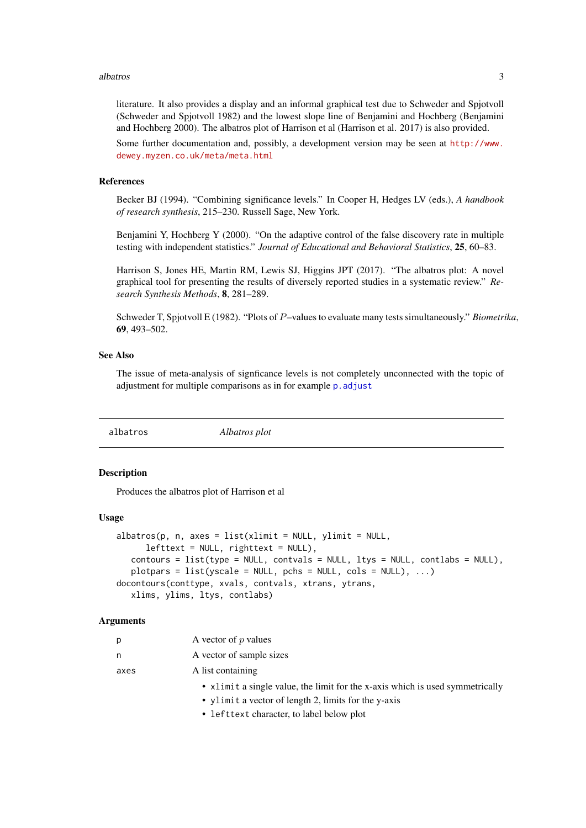#### <span id="page-2-0"></span>albatros 3

literature. It also provides a display and an informal graphical test due to Schweder and Spjotvoll (Schweder and Spjotvoll 1982) and the lowest slope line of Benjamini and Hochberg (Benjamini and Hochberg 2000). The albatros plot of Harrison et al (Harrison et al. 2017) is also provided.

Some further documentation and, possibly, a development version may be seen at [http://www.](http://www.dewey.myzen.co.uk/meta/meta.html) [dewey.myzen.co.uk/meta/meta.html](http://www.dewey.myzen.co.uk/meta/meta.html)

#### References

Becker BJ (1994). "Combining significance levels." In Cooper H, Hedges LV (eds.), *A handbook of research synthesis*, 215–230. Russell Sage, New York.

Benjamini Y, Hochberg Y (2000). "On the adaptive control of the false discovery rate in multiple testing with independent statistics." *Journal of Educational and Behavioral Statistics*, 25, 60–83.

Harrison S, Jones HE, Martin RM, Lewis SJ, Higgins JPT (2017). "The albatros plot: A novel graphical tool for presenting the results of diversely reported studies in a systematic review." *Research Synthesis Methods*, 8, 281–289.

Schweder T, Spjotvoll E (1982). "Plots of P–values to evaluate many tests simultaneously." *Biometrika*, 69, 493–502.

#### See Also

The issue of meta-analysis of signficance levels is not completely unconnected with the topic of adjustment for multiple comparisons as in for example p. adjust

albatros *Albatros plot*

#### **Description**

Produces the albatros plot of Harrison et al

#### Usage

```
albatros(p, n, axes = list(xlimit = NULL, ylimit = NULL,leftext = NULL, righttext = NULL),contours = list(type = NULL, contvals = NULL, ltys = NULL, contlab = NULL),plotpars = list(yscale = NULL, pchs = NULL, cols = NULL), \ldots)
docontours(conttype, xvals, contvals, xtrans, ytrans,
   xlims, ylims, ltys, contlabs)
```
#### Arguments

| D    | A vector of $p$ values                                                        |
|------|-------------------------------------------------------------------------------|
| n    | A vector of sample sizes                                                      |
| axes | A list containing                                                             |
|      | • xlimit a single value, the limit for the x-axis which is used symmetrically |
|      |                                                                               |

- ylimit a vector of length 2, limits for the y-axis
- lefttext character, to label below plot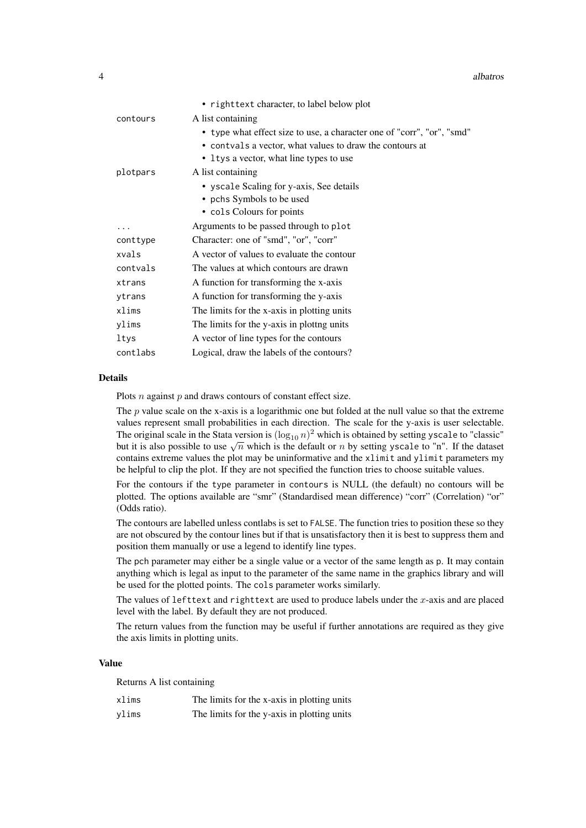|          | • righttext character, to label below plot                             |
|----------|------------------------------------------------------------------------|
| contours | A list containing                                                      |
|          | • type what effect size to use, a character one of "corr", "or", "smd" |
|          | • contvals a vector, what values to draw the contours at               |
|          | • Itys a vector, what line types to use                                |
| plotpars | A list containing                                                      |
|          | • yscale Scaling for y-axis, See details                               |
|          | • pchs Symbols to be used                                              |
|          | • cols Colours for points                                              |
| .        | Arguments to be passed through to plot                                 |
| conttype | Character: one of "smd", "or", "corr"                                  |
| xvals    | A vector of values to evaluate the contour                             |
| contvals | The values at which contours are drawn                                 |
| xtrans   | A function for transforming the x-axis                                 |
| ytrans   | A function for transforming the y-axis                                 |
| xlims    | The limits for the x-axis in plotting units                            |
| ylims    | The limits for the y-axis in plottng units                             |
| ltys     | A vector of line types for the contours                                |
| contlabs | Logical, draw the labels of the contours?                              |

# Details

Plots  $n$  against  $p$  and draws contours of constant effect size.

The p value scale on the x-axis is a logarithmic one but folded at the null value so that the extreme values represent small probabilities in each direction. The scale for the y-axis is user selectable. The original scale in the Stata version is  $(\log_{10} n)^2$  which is obtained by setting yscale to "classic" The original scale in the stata version is  $(\log_{10} n)$  which is obtained by setting yscale to "n". If the dataset but it is also possible to use  $\sqrt{n}$  which is the default or n by setting yscale to "n". If the dataset contains extreme values the plot may be uninformative and the xlimit and ylimit parameters my be helpful to clip the plot. If they are not specified the function tries to choose suitable values.

For the contours if the type parameter in contours is NULL (the default) no contours will be plotted. The options available are "smr" (Standardised mean difference) "corr" (Correlation) "or" (Odds ratio).

The contours are labelled unless contlabs is set to FALSE. The function tries to position these so they are not obscured by the contour lines but if that is unsatisfactory then it is best to suppress them and position them manually or use a legend to identify line types.

The pch parameter may either be a single value or a vector of the same length as p. It may contain anything which is legal as input to the parameter of the same name in the graphics library and will be used for the plotted points. The cols parameter works similarly.

The values of lefttext and righttext are used to produce labels under the x-axis and are placed level with the label. By default they are not produced.

The return values from the function may be useful if further annotations are required as they give the axis limits in plotting units.

# Value

Returns A list containing

| xlims | The limits for the x-axis in plotting units |
|-------|---------------------------------------------|
| ylims | The limits for the y-axis in plotting units |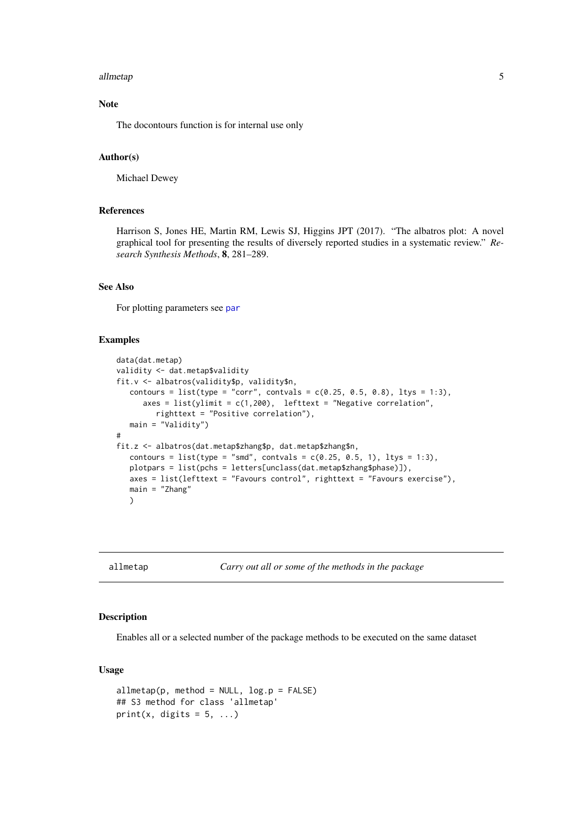#### <span id="page-4-0"></span>allmetap 5

# Note

The docontours function is for internal use only

# Author(s)

Michael Dewey

# References

Harrison S, Jones HE, Martin RM, Lewis SJ, Higgins JPT (2017). "The albatros plot: A novel graphical tool for presenting the results of diversely reported studies in a systematic review." *Research Synthesis Methods*, 8, 281–289.

# See Also

For plotting parameters see [par](#page-0-0)

# Examples

```
data(dat.metap)
validity <- dat.metap$validity
fit.v <- albatros(validity$p, validity$n,
   contours = list(type = "corr", contvals = c(0.25, 0.5, 0.8), ltys = 1:3),
      axes = list(ylimit = c(1,200), lefttext = "Negative correlation",
         righttext = "Positive correlation"),
   main = "Validity")
#
fit.z <- albatros(dat.metap$zhang$p, dat.metap$zhang$n,
   contours = list(type = "smd", contvals = c(0.25, 0.5, 1), ltys = 1:3),
   plotpars = list(pchs = letters[unclass(dat.metap$zhang$phase)]),
   axes = list(lefttext = "Favours control", righttext = "Favours exercise"),
   main = "Zhang"
   \lambda
```
allmetap *Carry out all or some of the methods in the package*

### Description

Enables all or a selected number of the package methods to be executed on the same dataset

#### Usage

```
allmetap(p, method = NULL, log.p = FALSE)## S3 method for class 'allmetap'
print(x, digits = 5, ...)
```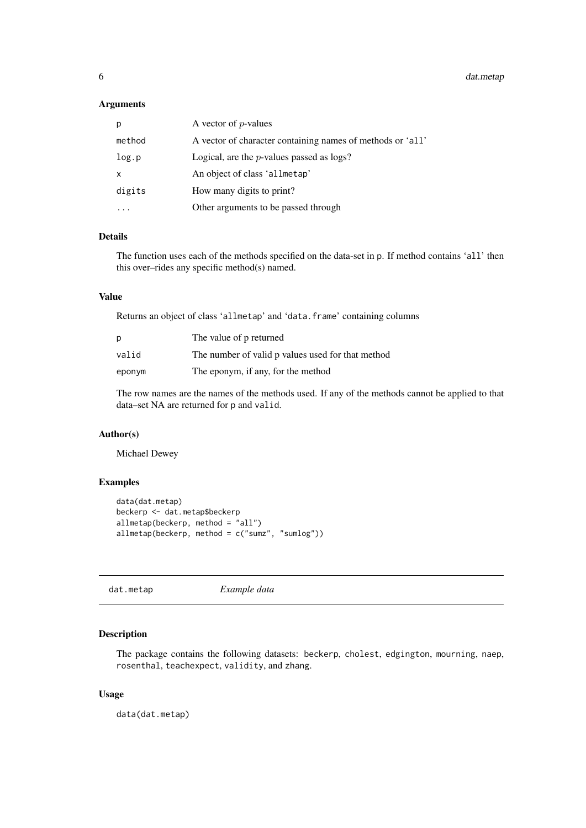<span id="page-5-0"></span>6 dat.metap and the state of the state of the state of the state of the state of the state of the state of the state of the state of the state of the state of the state of the state of the state of the state of the state o

# Arguments

| р            | A vector of $p$ -values                                    |
|--------------|------------------------------------------------------------|
| method       | A vector of character containing names of methods or 'all' |
| log.p        | Logical, are the $p$ -values passed as $\log s$ ?          |
| $\mathsf{x}$ | An object of class 'allmetap'                              |
| digits       | How many digits to print?                                  |
|              | Other arguments to be passed through                       |

# Details

The function uses each of the methods specified on the data-set in p. If method contains 'all' then this over–rides any specific method(s) named.

# Value

Returns an object of class 'allmetap' and 'data.frame' containing columns

| р      | The value of p returned                           |
|--------|---------------------------------------------------|
| valid  | The number of valid p values used for that method |
| eponym | The eponym, if any, for the method                |

The row names are the names of the methods used. If any of the methods cannot be applied to that data–set NA are returned for p and valid.

# Author(s)

Michael Dewey

# Examples

```
data(dat.metap)
beckerp <- dat.metap$beckerp
allmetap(beckerp, method = "all")
allmetap(beckerp, method = c("sumz", "sumlog"))
```
dat.metap *Example data*

# Description

The package contains the following datasets: beckerp, cholest, edgington, mourning, naep, rosenthal, teachexpect, validity, and zhang.

# Usage

data(dat.metap)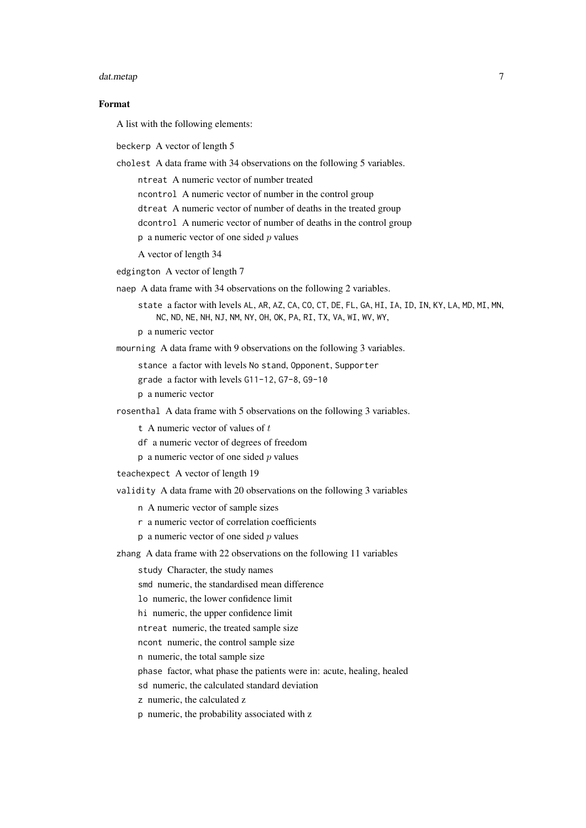#### dat.metap 2007 - 2008 - 2009 - 2009 - 2009 - 2009 - 2009 - 2009 - 2009 - 2009 - 2009 - 2009 - 2009 - 2009 - 20

#### Format

A list with the following elements:

beckerp A vector of length 5

cholest A data frame with 34 observations on the following 5 variables.

ntreat A numeric vector of number treated

ncontrol A numeric vector of number in the control group

dtreat A numeric vector of number of deaths in the treated group

dcontrol A numeric vector of number of deaths in the control group

 $p$  a numeric vector of one sided  $p$  values

A vector of length 34

edgington A vector of length 7

naep A data frame with 34 observations on the following 2 variables.

state a factor with levels AL, AR, AZ, CA, CO, CT, DE, FL, GA, HI, IA, ID, IN, KY, LA, MD, MI, MN, NC, ND, NE, NH, NJ, NM, NY, OH, OK, PA, RI, TX, VA, WI, WV, WY,

p a numeric vector

mourning A data frame with 9 observations on the following 3 variables.

stance a factor with levels No stand, Opponent, Supporter

grade a factor with levels G11-12, G7-8, G9-10

p a numeric vector

rosenthal A data frame with 5 observations on the following 3 variables.

t A numeric vector of values of  $t$ 

df a numeric vector of degrees of freedom

 $p$  a numeric vector of one sided  $p$  values

teachexpect A vector of length 19

validity A data frame with 20 observations on the following 3 variables

n A numeric vector of sample sizes

- r a numeric vector of correlation coefficients
- $p$  a numeric vector of one sided  $p$  values

zhang A data frame with 22 observations on the following 11 variables

study Character, the study names

smd numeric, the standardised mean difference

lo numeric, the lower confidence limit

hi numeric, the upper confidence limit

ntreat numeric, the treated sample size

ncont numeric, the control sample size

n numeric, the total sample size

phase factor, what phase the patients were in: acute, healing, healed

sd numeric, the calculated standard deviation

z numeric, the calculated z

p numeric, the probability associated with z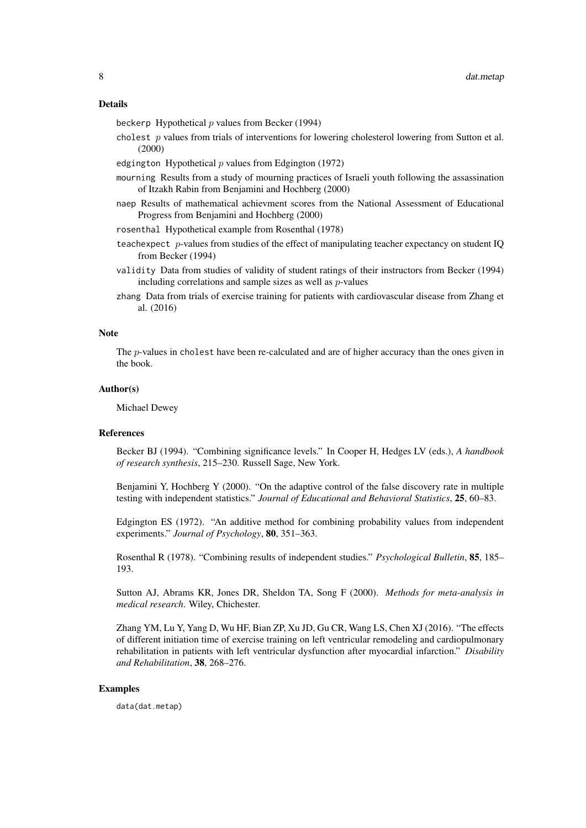## Details

beckerp Hypothetical  $p$  values from Becker (1994)

cholest  $p$  values from trials of interventions for lowering cholesterol lowering from Sutton et al. (2000)

edgington Hypothetical  $p$  values from Edgington (1972)

- mourning Results from a study of mourning practices of Israeli youth following the assassination of Itzakh Rabin from Benjamini and Hochberg (2000)
- naep Results of mathematical achievment scores from the National Assessment of Educational Progress from Benjamini and Hochberg (2000)

rosenthal Hypothetical example from Rosenthal (1978)

- teachexpect  $p$ -values from studies of the effect of manipulating teacher expectancy on student IQ from Becker (1994)
- validity Data from studies of validity of student ratings of their instructors from Becker (1994) including correlations and sample sizes as well as p-values
- zhang Data from trials of exercise training for patients with cardiovascular disease from Zhang et al. (2016)

#### **Note**

The p-values in cholest have been re-calculated and are of higher accuracy than the ones given in the book.

#### Author(s)

Michael Dewey

#### References

Becker BJ (1994). "Combining significance levels." In Cooper H, Hedges LV (eds.), *A handbook of research synthesis*, 215–230. Russell Sage, New York.

Benjamini Y, Hochberg Y (2000). "On the adaptive control of the false discovery rate in multiple testing with independent statistics." *Journal of Educational and Behavioral Statistics*, 25, 60–83.

Edgington ES (1972). "An additive method for combining probability values from independent experiments." *Journal of Psychology*, 80, 351–363.

Rosenthal R (1978). "Combining results of independent studies." *Psychological Bulletin*, 85, 185– 193.

Sutton AJ, Abrams KR, Jones DR, Sheldon TA, Song F (2000). *Methods for meta-analysis in medical research*. Wiley, Chichester.

Zhang YM, Lu Y, Yang D, Wu HF, Bian ZP, Xu JD, Gu CR, Wang LS, Chen XJ (2016). "The effects of different initiation time of exercise training on left ventricular remodeling and cardiopulmonary rehabilitation in patients with left ventricular dysfunction after myocardial infarction." *Disability and Rehabilitation*, 38, 268–276.

#### Examples

data(dat.metap)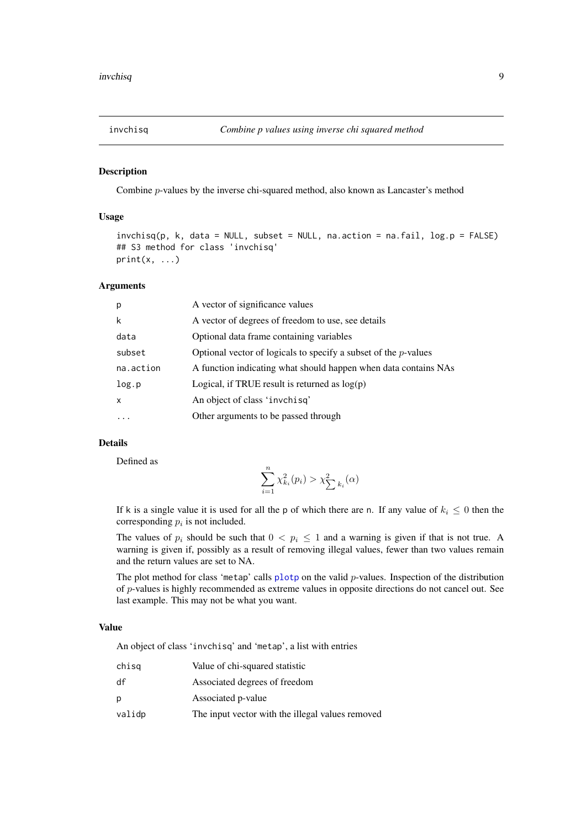<span id="page-8-0"></span>

# Description

Combine p-values by the inverse chi-squared method, also known as Lancaster's method

#### Usage

```
invchisq(p, k, data = NULL, subset = NULL, na.action = na.fail, log.p = FALSE)
## S3 method for class 'invchisq'
print(x, \ldots)
```
# Arguments

| p         | A vector of significance values                                    |
|-----------|--------------------------------------------------------------------|
| k         | A vector of degrees of freedom to use, see details                 |
| data      | Optional data frame containing variables                           |
| subset    | Optional vector of logicals to specify a subset of the $p$ -values |
| na.action | A function indicating what should happen when data contains NAs    |
| log.p     | Logical, if TRUE result is returned as $log(p)$                    |
| X         | An object of class 'invchisg'                                      |
| $\ddotsc$ | Other arguments to be passed through                               |

# Details

Defined as

$$
\sum_{i=1}^{n} \chi_{k_i}^2(p_i) > \chi_{\sum k_i}^2(\alpha)
$$

If k is a single value it is used for all the p of which there are n. If any value of  $k_i \leq 0$  then the corresponding  $p_i$  is not included.

The values of  $p_i$  should be such that  $0 < p_i \le 1$  and a warning is given if that is not true. A warning is given if, possibly as a result of removing illegal values, fewer than two values remain and the return values are set to NA.

The plot method for class 'metap' calls [plotp](#page-14-1) on the valid  $p$ -values. Inspection of the distribution of p-values is highly recommended as extreme values in opposite directions do not cancel out. See last example. This may not be what you want.

# Value

An object of class 'invchisq' and 'metap', a list with entries

| chisg  | Value of chi-squared statistic                   |
|--------|--------------------------------------------------|
| df     | Associated degrees of freedom                    |
| р      | Associated p-value                               |
| validp | The input vector with the illegal values removed |
|        |                                                  |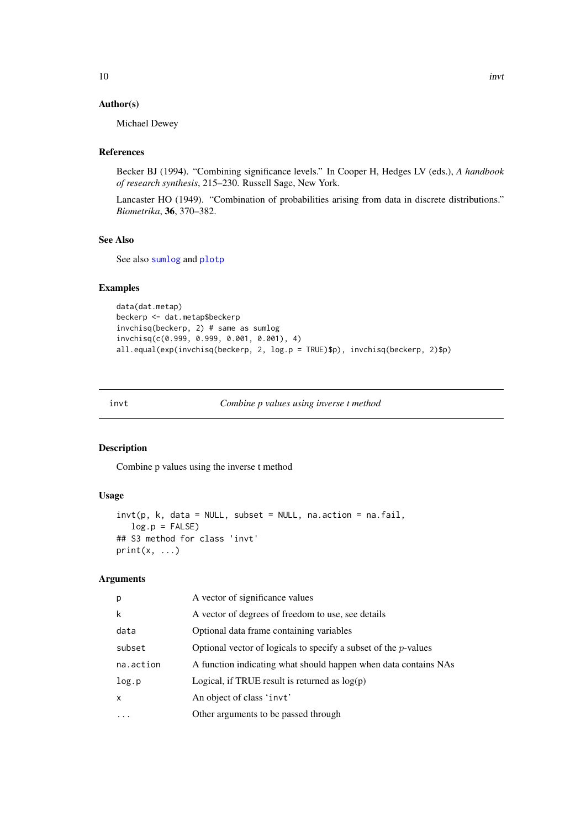# <span id="page-9-0"></span>Author(s)

Michael Dewey

# References

Becker BJ (1994). "Combining significance levels." In Cooper H, Hedges LV (eds.), *A handbook of research synthesis*, 215–230. Russell Sage, New York.

Lancaster HO (1949). "Combination of probabilities arising from data in discrete distributions." *Biometrika*, 36, 370–382.

# See Also

See also [sumlog](#page-17-1) and [plotp](#page-14-1)

# Examples

```
data(dat.metap)
beckerp <- dat.metap$beckerp
invchisq(beckerp, 2) # same as sumlog
invchisq(c(0.999, 0.999, 0.001, 0.001), 4)
all.equal(exp(invchisq(beckerp, 2, log.p = TRUE)$p), invchisq(beckerp, 2)$p)
```
invt *Combine p values using inverse t method*

# Description

Combine p values using the inverse t method

# Usage

```
invt(p, k, data = NULL, subset = NULL, na. action = na. fail,log.p = FALSE## S3 method for class 'invt'
print(x, \ldots)
```
#### Arguments

| p            | A vector of significance values                                    |
|--------------|--------------------------------------------------------------------|
| $\mathsf{k}$ | A vector of degrees of freedom to use, see details                 |
| data         | Optional data frame containing variables                           |
| subset       | Optional vector of logicals to specify a subset of the $p$ -values |
| na.action    | A function indicating what should happen when data contains NAs    |
| log.p        | Logical, if TRUE result is returned as $log(p)$                    |
| $\mathsf{x}$ | An object of class 'invt'                                          |
|              | Other arguments to be passed through                               |
|              |                                                                    |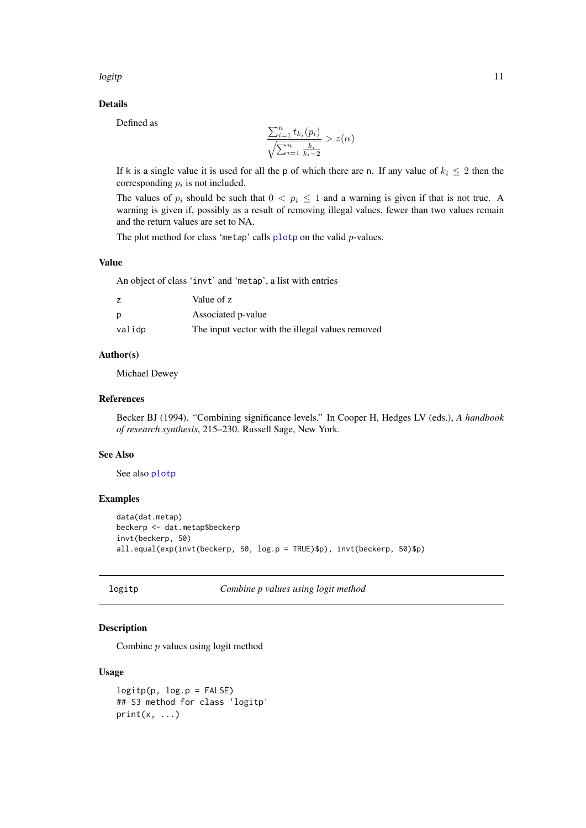<span id="page-10-0"></span>logitp the contract of the contract of the contract of the contract of the contract of the contract of the contract of the contract of the contract of the contract of the contract of the contract of the contract of the con

# Details

Defined as

$$
\frac{\sum_{i=1}^{n} t_{k_i}(p_i)}{\sqrt{\sum_{i=1}^{n} \frac{k_i}{k_i - 2}}} > z(\alpha)
$$

If k is a single value it is used for all the p of which there are n. If any value of  $k_i \leq 2$  then the corresponding  $p_i$  is not included.

The values of  $p_i$  should be such that  $0 < p_i \le 1$  and a warning is given if that is not true. A warning is given if, possibly as a result of removing illegal values, fewer than two values remain and the return values are set to NA.

The plot method for class 'metap' calls [plotp](#page-14-1) on the valid *p*-values.

# Value

An object of class 'invt' and 'metap', a list with entries

|        | Value of z                                       |
|--------|--------------------------------------------------|
| D      | Associated p-value                               |
| validp | The input vector with the illegal values removed |

# Author(s)

Michael Dewey

#### References

Becker BJ (1994). "Combining significance levels." In Cooper H, Hedges LV (eds.), *A handbook of research synthesis*, 215–230. Russell Sage, New York.

#### See Also

See also [plotp](#page-14-1)

# Examples

```
data(dat.metap)
beckerp <- dat.metap$beckerp
invt(beckerp, 50)
all.equal(exp(invt(beckerp, 50, log.p = TRUE)$p), invt(beckerp, 50)$p)
```
logitp *Combine p values using logit method*

# Description

Combine p values using logit method

# Usage

```
logitp(p, log.p = FALSE)## S3 method for class 'logitp'
print(x, \ldots)
```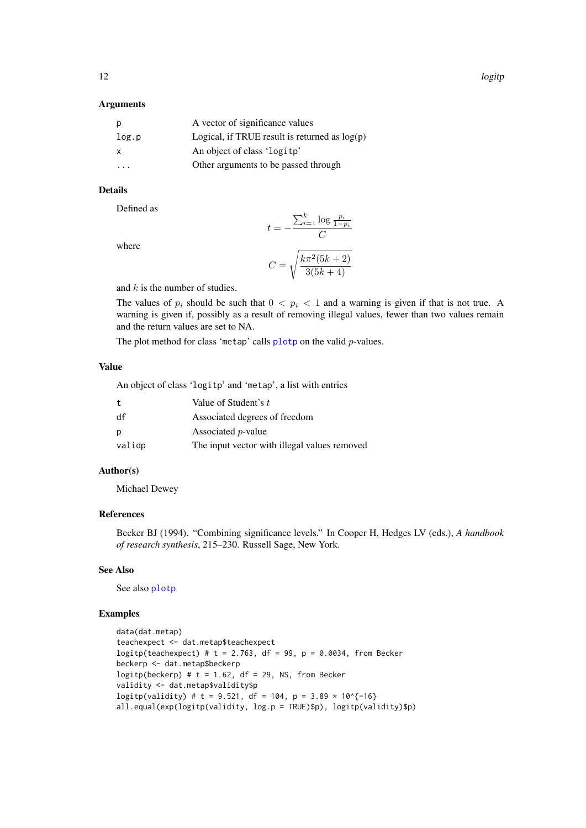# Arguments

| p     | A vector of significance values                 |
|-------|-------------------------------------------------|
| log.p | Logical, if TRUE result is returned as $log(p)$ |
| X     | An object of class 'logitp'                     |
|       | Other arguments to be passed through            |

# Details

Defined as

$$
t = -\frac{\sum_{i=1}^{k} \log \frac{p_i}{1 - p_i}}{C}
$$

$$
C = \sqrt{\frac{k\pi^2 (5k + 2)}{2(5k + 1)}}
$$

where

and 
$$
k
$$
 is the number of studies.

The values of  $p_i$  should be such that  $0 < p_i < 1$  and a warning is given if that is not true. A warning is given if, possibly as a result of removing illegal values, fewer than two values remain and the return values are set to NA.

 $3(5k+4)$ 

The plot method for class 'metap' calls  $plotp$  on the valid p-values.

# Value

An object of class 'logitp' and 'metap', a list with entries

| $\mathbf{t}$ | Value of Student's t                         |
|--------------|----------------------------------------------|
| df           | Associated degrees of freedom                |
| p            | Associated <i>p</i> -value                   |
| validp       | The input vector with illegal values removed |

# Author(s)

Michael Dewey

# References

Becker BJ (1994). "Combining significance levels." In Cooper H, Hedges LV (eds.), *A handbook of research synthesis*, 215–230. Russell Sage, New York.

# See Also

See also [plotp](#page-14-1)

# Examples

```
data(dat.metap)
teachexpect <- dat.metap$teachexpect
logitp(teachexpect) # t = 2.763, df = 99, p = 0.0034, from Becker
beckerp <- dat.metap$beckerp
logitp(beckerp) # t = 1.62, df = 29, NS, from Becker
validity <- dat.metap$validity$p
logitp(validity) # t = 9.521, df = 104, p = 3.89 * 10^{-16}
all.equal(exp(logitp(validity, log.p = TRUE)$p), logitp(validity)$p)
```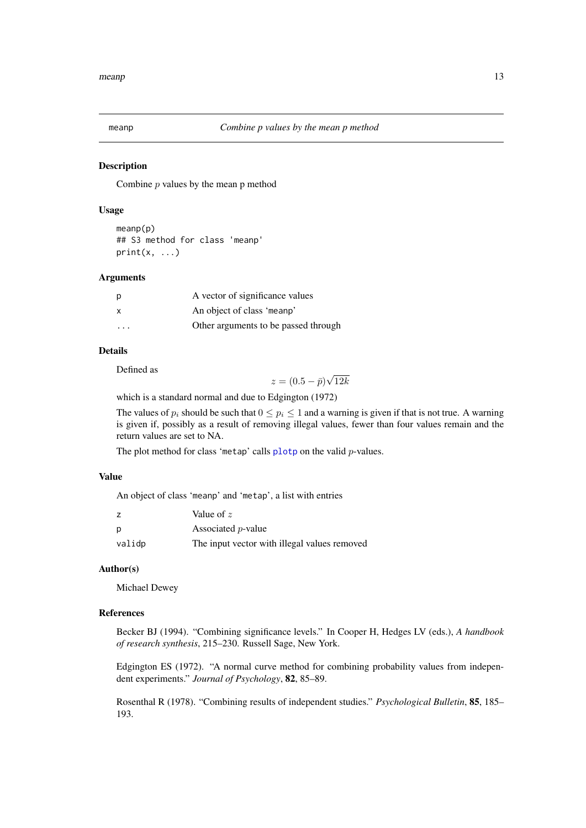<span id="page-12-0"></span>

# Description

Combine  $p$  values by the mean  $p$  method

# Usage

```
meanp(p)
## S3 method for class 'meanp'
print(x, \ldots)
```
#### Arguments

| p                       | A vector of significance values      |
|-------------------------|--------------------------------------|
| X                       | An object of class 'meanp'           |
| $\cdot$ $\cdot$ $\cdot$ | Other arguments to be passed through |

# Details

Defined as

 $z = (0.5 - \bar{p})$ √ 12k

which is a standard normal and due to Edgington (1972)

The values of  $p_i$  should be such that  $0 \leq p_i \leq 1$  and a warning is given if that is not true. A warning is given if, possibly as a result of removing illegal values, fewer than four values remain and the return values are set to NA.

The plot method for class 'metap' calls  $\frac{p}{q}$  on the valid p-values.

#### Value

An object of class 'meanp' and 'metap', a list with entries

|        | Value of $z$                                 |
|--------|----------------------------------------------|
| p      | Associated <i>p</i> -value                   |
| validp | The input vector with illegal values removed |

# Author(s)

Michael Dewey

# References

Becker BJ (1994). "Combining significance levels." In Cooper H, Hedges LV (eds.), *A handbook of research synthesis*, 215–230. Russell Sage, New York.

Edgington ES (1972). "A normal curve method for combining probability values from independent experiments." *Journal of Psychology*, 82, 85–89.

Rosenthal R (1978). "Combining results of independent studies." *Psychological Bulletin*, 85, 185– 193.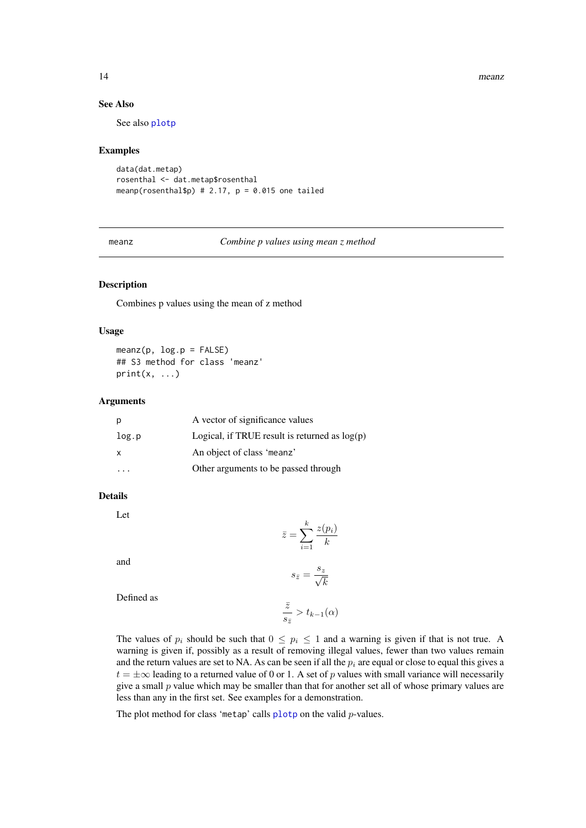14 means

#### See Also

See also [plotp](#page-14-1)

#### Examples

```
data(dat.metap)
rosenthal <- dat.metap$rosenthal
meanp(rosenthal$p) # 2.17, p = 0.015 one tailed
```
meanz *Combine p values using mean z method*

# Description

Combines p values using the mean of z method

# Usage

 $meanz(p, log.p = FALSE)$ ## S3 method for class 'meanz'  $print(x, \ldots)$ 

### Arguments

| р     | A vector of significance values                 |
|-------|-------------------------------------------------|
| log.p | Logical, if TRUE result is returned as $log(p)$ |
| X     | An object of class 'meanz'                      |
|       | Other arguments to be passed through            |

#### Details

Let

$$
\bar{z} = \sum_{i=1}^{k} \frac{z(p_i)}{k}
$$

and

$$
s_{\bar{z}} = \frac{s_z}{\sqrt{k}}
$$

Defined as

$$
\frac{\bar{z}}{s_{\bar{z}}} > t_{k-1}(\alpha)
$$

The values of  $p_i$  should be such that  $0 \leq p_i \leq 1$  and a warning is given if that is not true. A warning is given if, possibly as a result of removing illegal values, fewer than two values remain and the return values are set to NA. As can be seen if all the  $p_i$  are equal or close to equal this gives a  $t = \pm \infty$  leading to a returned value of 0 or 1. A set of p values with small variance will necessarily give a small  $p$  value which may be smaller than that for another set all of whose primary values are less than any in the first set. See examples for a demonstration.

The plot method for class 'metap' calls [plotp](#page-14-1) on the valid p-values.

<span id="page-13-0"></span>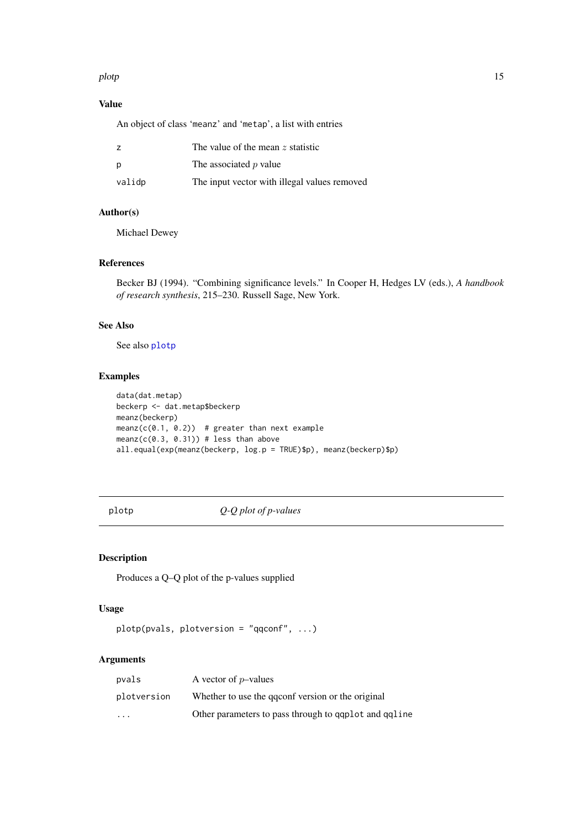# <span id="page-14-0"></span>plotp the state of the state of the state of the state of the state of the state of the state of the state of the state of the state of the state of the state of the state of the state of the state of the state of the stat

# Value

An object of class 'meanz' and 'metap', a list with entries

| Z      | The value of the mean $z$ statistic          |
|--------|----------------------------------------------|
| p      | The associated p value                       |
| validp | The input vector with illegal values removed |

# Author(s)

Michael Dewey

# References

Becker BJ (1994). "Combining significance levels." In Cooper H, Hedges LV (eds.), *A handbook of research synthesis*, 215–230. Russell Sage, New York.

#### See Also

See also [plotp](#page-14-1)

# Examples

```
data(dat.metap)
beckerp <- dat.metap$beckerp
meanz(beckerp)
meanz(c(0.1, 0.2)) # greater than next example
meanz(c(0.3, 0.31)) # less than above
all.equal(exp(meanz(beckerp, log.p = TRUE)$p), meanz(beckerp)$p)
```
# <span id="page-14-1"></span>plotp *Q-Q plot of p-values*

# Description

Produces a Q–Q plot of the p-values supplied

# Usage

```
plotp(pvals, plotversion = "qqconf", ...)
```
# Arguments

| pvals                   | A vector of $p$ -values                                 |
|-------------------------|---------------------------------------------------------|
| plotversion             | Whether to use the quality version or the original      |
| $\cdot$ $\cdot$ $\cdot$ | Other parameters to pass through to qq plot and qq line |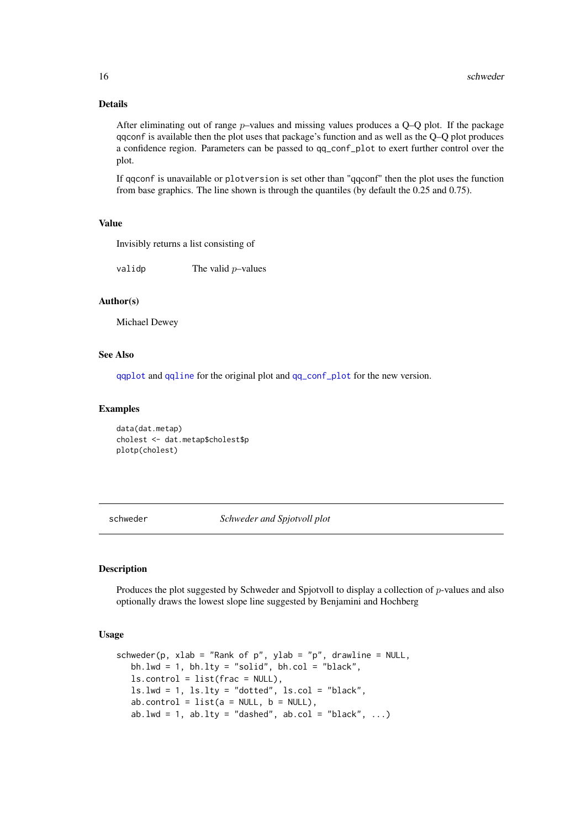## Details

After eliminating out of range  $p$ –values and missing values produces a Q–Q plot. If the package qqconf is available then the plot uses that package's function and as well as the Q–Q plot produces a confidence region. Parameters can be passed to qq\_conf\_plot to exert further control over the plot.

If qqconf is unavailable or plotversion is set other than "qqconf" then the plot uses the function from base graphics. The line shown is through the quantiles (by default the 0.25 and 0.75).

#### Value

Invisibly returns a list consisting of

valid  $\mathbf p$  The values  $\mathbf p$ –values

# Author(s)

Michael Dewey

#### See Also

[qqplot](#page-0-0) and [qqline](#page-0-0) for the original plot and [qq\\_conf\\_plot](#page-0-0) for the new version.

### Examples

```
data(dat.metap)
cholest <- dat.metap$cholest$p
plotp(cholest)
```
schweder *Schweder and Spjotvoll plot*

# Description

Produces the plot suggested by Schweder and Spjotvoll to display a collection of  $p$ -values and also optionally draws the lowest slope line suggested by Benjamini and Hochberg

#### Usage

```
schweder(p, xlab = "Rank of p", ylab = "p", drawline = NULL,
   bh.lwd = 1, bh.lty = "solid", bh.col = "black",
   ls.control = list(frac = NULL),
  ls.lwd = 1, ls.lty = "dotted", ls.col = "black",
   ab.control = list(a = NULL, b = NULL),ab.lwd = 1, ab.lty = "dashed", ab.col = "black", \ldots)
```
<span id="page-15-0"></span>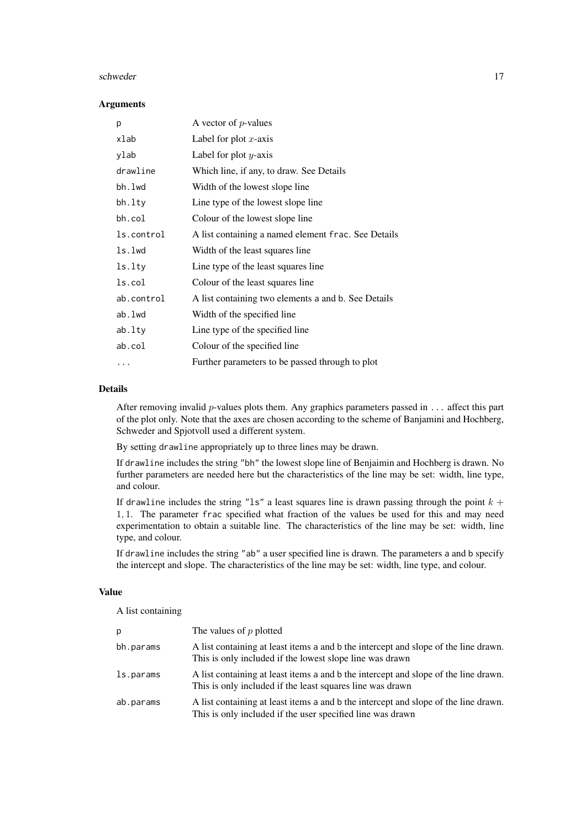#### schweder two schweder two schweder two schweder two schweder two schweder two schweder two schweder two schweder

# Arguments

| р          | A vector of $p$ -values                             |
|------------|-----------------------------------------------------|
| xlab       | Label for plot $x$ -axis                            |
| ylab       | Label for plot $y$ -axis                            |
| drawline   | Which line, if any, to draw. See Details            |
| bh.lwd     | Width of the lowest slope line                      |
| bh.lty     | Line type of the lowest slope line                  |
| bh.col     | Colour of the lowest slope line                     |
| ls.control | A list containing a named element frac. See Details |
| ls.lwd     | Width of the least squares line                     |
| ls.lty     | Line type of the least squares line                 |
| ls.col     | Colour of the least squares line                    |
| ab.control | A list containing two elements a and b. See Details |
| ab.lwd     | Width of the specified line                         |
| $ab.$ lty  | Line type of the specified line                     |
| ab.col     | Colour of the specified line                        |
| .          | Further parameters to be passed through to plot     |

#### Details

After removing invalid p-values plots them. Any graphics parameters passed in  $\dots$  affect this part of the plot only. Note that the axes are chosen according to the scheme of Banjamini and Hochberg, Schweder and Spjotvoll used a different system.

By setting drawline appropriately up to three lines may be drawn.

If drawline includes the string "bh" the lowest slope line of Benjaimin and Hochberg is drawn. No further parameters are needed here but the characteristics of the line may be set: width, line type, and colour.

If drawline includes the string "ls" a least squares line is drawn passing through the point  $k +$ 1, 1. The parameter frac specified what fraction of the values be used for this and may need experimentation to obtain a suitable line. The characteristics of the line may be set: width, line type, and colour.

If drawline includes the string "ab" a user specified line is drawn. The parameters a and b specify the intercept and slope. The characteristics of the line may be set: width, line type, and colour.

# Value

A list containing

| p         | The values of $p$ plotted                                                                                                                         |
|-----------|---------------------------------------------------------------------------------------------------------------------------------------------------|
| bh.params | A list containing at least items a and b the intercept and slope of the line drawn.<br>This is only included if the lowest slope line was drawn   |
| ls.params | A list containing at least items a and b the intercept and slope of the line drawn.<br>This is only included if the least squares line was drawn  |
| ab.params | A list containing at least items a and b the intercept and slope of the line drawn.<br>This is only included if the user specified line was drawn |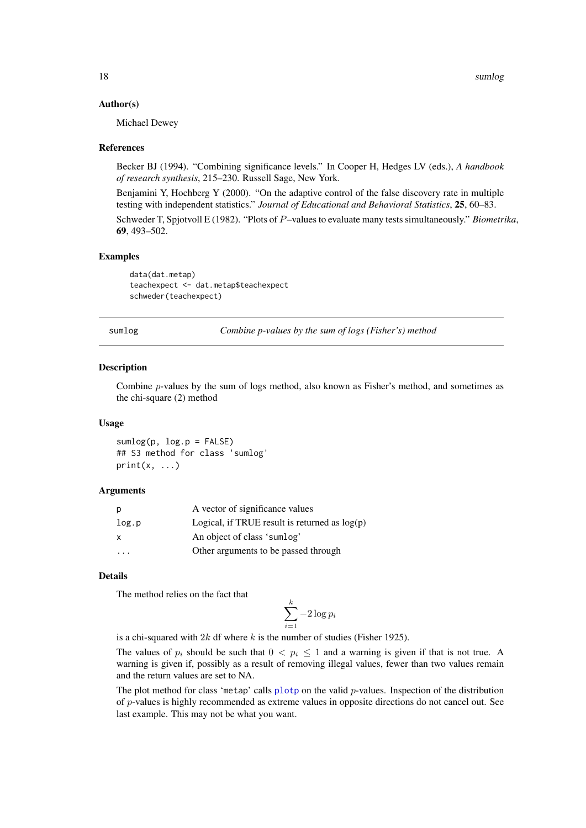## Author(s)

Michael Dewey

#### References

Becker BJ (1994). "Combining significance levels." In Cooper H, Hedges LV (eds.), *A handbook of research synthesis*, 215–230. Russell Sage, New York.

Benjamini Y, Hochberg Y (2000). "On the adaptive control of the false discovery rate in multiple testing with independent statistics." *Journal of Educational and Behavioral Statistics*, 25, 60–83. Schweder T, Spjotvoll E (1982). "Plots of P–values to evaluate many tests simultaneously." *Biometrika*, 69, 493–502.

# Examples

data(dat.metap) teachexpect <- dat.metap\$teachexpect schweder(teachexpect)

<span id="page-17-1"></span>sumlog *Combine p-values by the sum of logs (Fisher's) method*

#### Description

Combine  $p$ -values by the sum of logs method, also known as Fisher's method, and sometimes as the chi-square (2) method

#### Usage

 $sumlog(p, log.p = FALSE)$ ## S3 method for class 'sumlog'  $print(x, \ldots)$ 

#### Arguments

| р            | A vector of significance values                 |
|--------------|-------------------------------------------------|
| log.p        | Logical, if TRUE result is returned as $log(p)$ |
| $\mathsf{x}$ | An object of class 'sumlog'                     |
| .            | Other arguments to be passed through            |

# Details

The method relies on the fact that

$$
\sum_{i=1}^{k} -2\log p_i
$$

is a chi-squared with  $2k$  df where k is the number of studies (Fisher 1925).

The values of  $p_i$  should be such that  $0 < p_i \le 1$  and a warning is given if that is not true. A warning is given if, possibly as a result of removing illegal values, fewer than two values remain and the return values are set to NA.

The plot method for class 'metap' calls [plotp](#page-14-1) on the valid  $p$ -values. Inspection of the distribution of p-values is highly recommended as extreme values in opposite directions do not cancel out. See last example. This may not be what you want.

<span id="page-17-0"></span>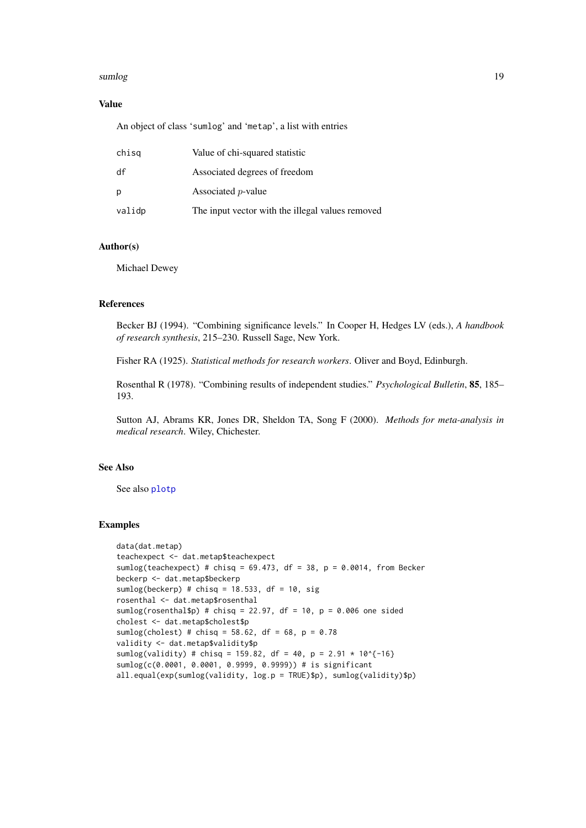#### sumlog the state of the state of the state of the state of the state of the state of the state of the state of the state of the state of the state of the state of the state of the state of the state of the state of the sta

# Value

An object of class 'sumlog' and 'metap', a list with entries

| chisg  | Value of chi-squared statistic                   |
|--------|--------------------------------------------------|
| df     | Associated degrees of freedom                    |
| р      | Associated <i>p</i> -value                       |
| validp | The input vector with the illegal values removed |

# Author(s)

Michael Dewey

## References

Becker BJ (1994). "Combining significance levels." In Cooper H, Hedges LV (eds.), *A handbook of research synthesis*, 215–230. Russell Sage, New York.

Fisher RA (1925). *Statistical methods for research workers*. Oliver and Boyd, Edinburgh.

Rosenthal R (1978). "Combining results of independent studies." *Psychological Bulletin*, 85, 185– 193.

Sutton AJ, Abrams KR, Jones DR, Sheldon TA, Song F (2000). *Methods for meta-analysis in medical research*. Wiley, Chichester.

# See Also

See also [plotp](#page-14-1)

# Examples

```
data(dat.metap)
teachexpect <- dat.metap$teachexpect
sumlog(teachexpect) # chisq = 69.473, df = 38, p = 0.0014, from Becker
beckerp <- dat.metap$beckerp
sumlog(beckerp) # chisq = 18.533, df = 10, sig
rosenthal <- dat.metap$rosenthal
sumlog(rosenthal$p) # chisq = 22.97, df = 10, p = 0.006 one sided
cholest <- dat.metap$cholest$p
sumlog(cholest) # chisq = 58.62, df = 68, p = 0.78validity <- dat.metap$validity$p
sumlog(validity) # chisq = 159.82, df = 40, p = 2.91 \times 10^{6} (-16)
sumlog(c(0.0001, 0.0001, 0.9999, 0.9999)) # is significant
all.equal(exp(sumlog(validity, log.p = TRUE)$p), sumlog(validity)$p)
```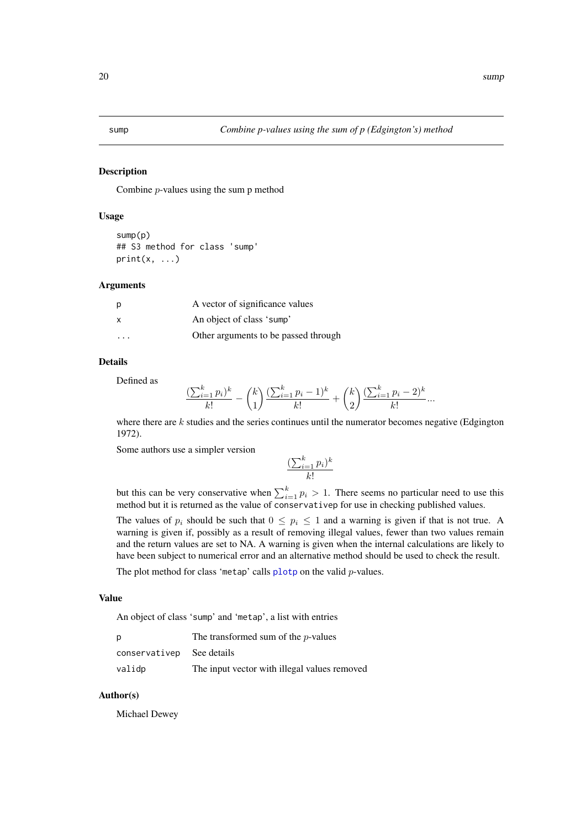<span id="page-19-0"></span>

# Description

Combine p-values using the sum p method

# Usage

```
sump(p)
## S3 method for class 'sump'
print(x, \ldots)
```
# Arguments

| p                       | A vector of significance values      |
|-------------------------|--------------------------------------|
| x                       | An object of class 'sump'            |
| $\cdot$ $\cdot$ $\cdot$ | Other arguments to be passed through |

# Details

Defined as

$$
\frac{(\sum_{i=1}^{k} p_i)^k}{k!} - {k \choose 1} \frac{(\sum_{i=1}^{k} p_i - 1)^k}{k!} + {k \choose 2} \frac{(\sum_{i=1}^{k} p_i - 2)^k}{k!} \dots
$$

where there are  $k$  studies and the series continues until the numerator becomes negative (Edgington 1972).

Some authors use a simpler version

$$
\frac{(\sum_{i=1}^k p_i)^k}{k!}
$$

but this can be very conservative when  $\sum_{i=1}^{k} p_i > 1$ . There seems no particular need to use this method but it is returned as the value of conservativep for use in checking published values.

The values of  $p_i$  should be such that  $0 \leq p_i \leq 1$  and a warning is given if that is not true. A warning is given if, possibly as a result of removing illegal values, fewer than two values remain and the return values are set to NA. A warning is given when the internal calculations are likely to have been subject to numerical error and an alternative method should be used to check the result.

The plot method for class 'metap' calls  $plotp$  on the valid  $p$ -values.

# Value

An object of class 'sump' and 'metap', a list with entries

| р                        | The transformed sum of the <i>p</i> -values  |
|--------------------------|----------------------------------------------|
| conservative see details |                                              |
| validp                   | The input vector with illegal values removed |

# Author(s)

Michael Dewey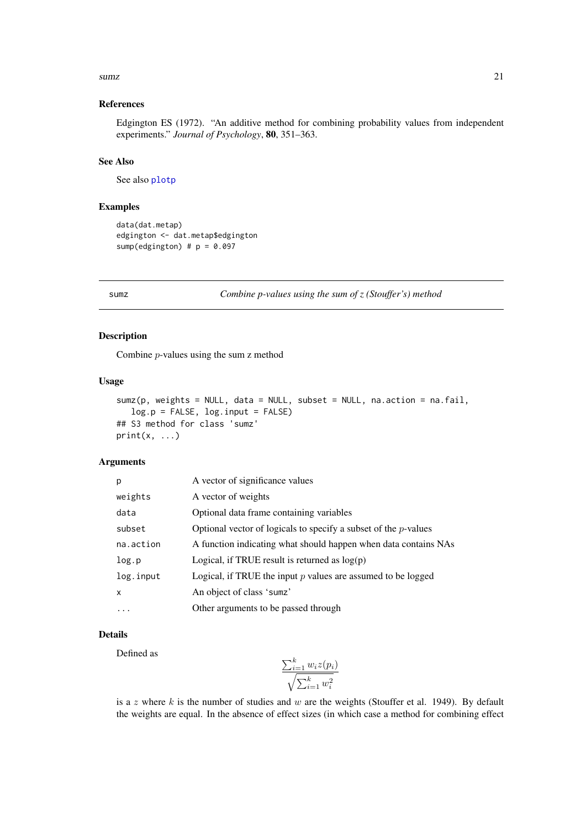#### <span id="page-20-0"></span> $sumz$  21

#### References

Edgington ES (1972). "An additive method for combining probability values from independent experiments." *Journal of Psychology*, 80, 351–363.

# See Also

See also [plotp](#page-14-1)

# Examples

```
data(dat.metap)
edgington <- dat.metap$edgington
sump(edgington) # p = 0.097
```
sumz *Combine p-values using the sum of z (Stouffer's) method*

# Description

Combine p-values using the sum z method

# Usage

```
sumz(p, weights = NULL, data = NULL, subset = NULL, na.action = na.fail,
   log.p = FALSE, log.input = FALSE)
## S3 method for class 'sumz'
print(x, \ldots)
```
# Arguments

| p            | A vector of significance values                                    |
|--------------|--------------------------------------------------------------------|
| weights      | A vector of weights                                                |
| data         | Optional data frame containing variables                           |
| subset       | Optional vector of logicals to specify a subset of the $p$ -values |
| na.action    | A function indicating what should happen when data contains NAs    |
| log.p        | Logical, if TRUE result is returned as $log(p)$                    |
| log.input    | Logical, if TRUE the input $p$ values are assumed to be logged     |
| $\mathsf{x}$ | An object of class 'sumz'                                          |
| .            | Other arguments to be passed through                               |

#### Details

Defined as

$$
\frac{\sum_{i=1}^{k} w_i z(p_i)}{\sqrt{\sum_{i=1}^{k} w_i^2}}
$$

is a z where  $k$  is the number of studies and  $w$  are the weights (Stouffer et al. 1949). By default the weights are equal. In the absence of effect sizes (in which case a method for combining effect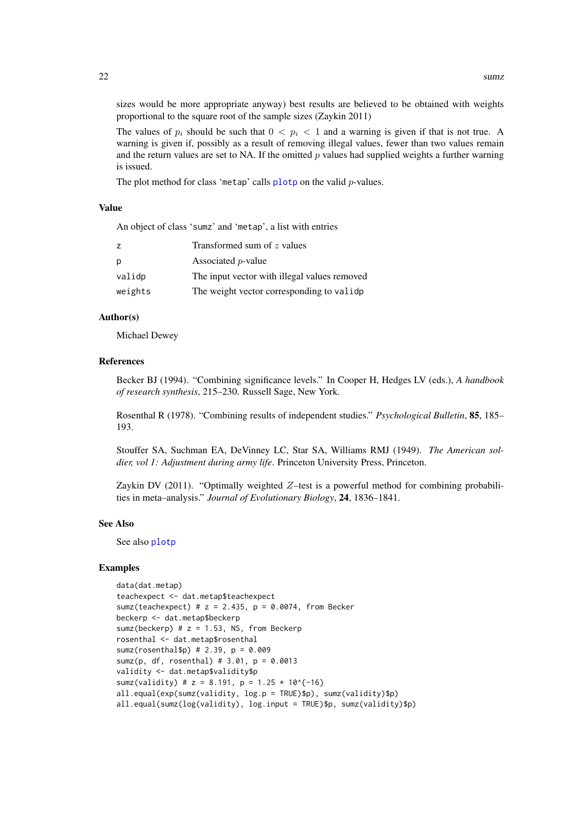sizes would be more appropriate anyway) best results are believed to be obtained with weights proportional to the square root of the sample sizes (Zaykin 2011)

The values of  $p_i$  should be such that  $0 < p_i < 1$  and a warning is given if that is not true. A warning is given if, possibly as a result of removing illegal values, fewer than two values remain and the return values are set to NA. If the omitted  $p$  values had supplied weights a further warning is issued.

The plot method for class 'metap' calls  $\frac{p}{q}$  on the valid p-values.

#### Value

An object of class 'sumz' and 'metap', a list with entries

|         | Transformed sum of z values                  |
|---------|----------------------------------------------|
| p       | Associated <i>p</i> -value                   |
| validp  | The input vector with illegal values removed |
| weights | The weight vector corresponding to valide.   |

# Author(s)

Michael Dewey

# References

Becker BJ (1994). "Combining significance levels." In Cooper H, Hedges LV (eds.), *A handbook of research synthesis*, 215–230. Russell Sage, New York.

Rosenthal R (1978). "Combining results of independent studies." *Psychological Bulletin*, 85, 185– 193.

Stouffer SA, Suchman EA, DeVinney LC, Star SA, Williams RMJ (1949). *The American soldier, vol 1: Adjustment during army life*. Princeton University Press, Princeton.

Zaykin DV (2011). "Optimally weighted Z–test is a powerful method for combining probabilities in meta–analysis." *Journal of Evolutionary Biology*, 24, 1836–1841.

#### See Also

See also [plotp](#page-14-1)

### Examples

```
data(dat.metap)
teachexpect <- dat.metap$teachexpect
sumz(teachexpect) # z = 2.435, p = 0.0074, from Becker
beckerp <- dat.metap$beckerp
sumz(beckerp) # z = 1.53, NS, from Beckerp
rosenthal <- dat.metap$rosenthal
sumz(rosenthal$p) # 2.39, p = 0.009
sumz(p, df, rosenthal) # 3.01, p = 0.0013
validity <- dat.metap$validity$p
sumz(validity) # z = 8.191, p = 1.25 \times 10^{6}(-16)all.equal(exp(sumz(validity, log.p = TRUE)$p), sumz(validity)$p)
all.equal(sumz(log(validity), log.input = TRUE)$p, sumz(validity)$p)
```
<span id="page-21-0"></span>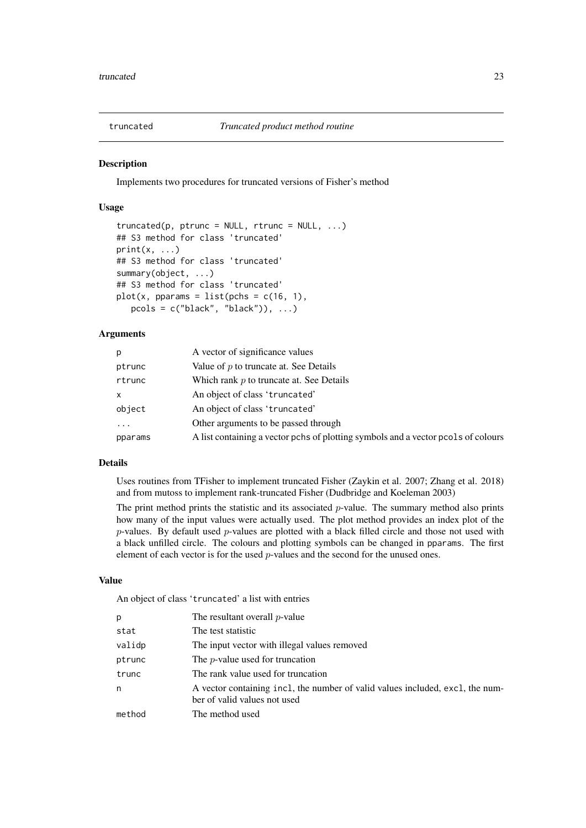<span id="page-22-0"></span>

# Description

Implements two procedures for truncated versions of Fisher's method

# Usage

```
truncated(p, ptrunc = NULL, rtrunc = NULL, ...)## S3 method for class 'truncated'
print(x, \ldots)## S3 method for class 'truncated'
summary(object, ...)
## S3 method for class 'truncated'
plot(x, pparams = list(pchs = c(16, 1),
   pcols = c("black", "black")), ...)
```
# Arguments

| p                       | A vector of significance values                                                   |
|-------------------------|-----------------------------------------------------------------------------------|
| ptrunc                  | Value of $p$ to truncate at. See Details                                          |
| rtrunc                  | Which rank $p$ to truncate at. See Details                                        |
| $\mathsf{x}$            | An object of class 'truncated'                                                    |
| object                  | An object of class 'truncated'                                                    |
| $\cdot$ $\cdot$ $\cdot$ | Other arguments to be passed through                                              |
| pparams                 | A list containing a vector pchs of plotting symbols and a vector pcols of colours |

# Details

Uses routines from TFisher to implement truncated Fisher (Zaykin et al. 2007; Zhang et al. 2018) and from mutoss to implement rank-truncated Fisher (Dudbridge and Koeleman 2003)

The print method prints the statistic and its associated  $p$ -value. The summary method also prints how many of the input values were actually used. The plot method provides an index plot of the p-values. By default used p-values are plotted with a black filled circle and those not used with a black unfilled circle. The colours and plotting symbols can be changed in pparams. The first element of each vector is for the used p-values and the second for the unused ones.

#### Value

An object of class 'truncated' a list with entries

| p      | The resultant overall $p$ -value                                                                              |
|--------|---------------------------------------------------------------------------------------------------------------|
| stat   | The test statistic                                                                                            |
| validp | The input vector with illegal values removed                                                                  |
| ptrunc | The <i>p</i> -value used for truncation                                                                       |
| trunc  | The rank value used for truncation                                                                            |
| n      | A vector containing incl, the number of valid values included, excl, the num-<br>ber of valid values not used |
| method | The method used                                                                                               |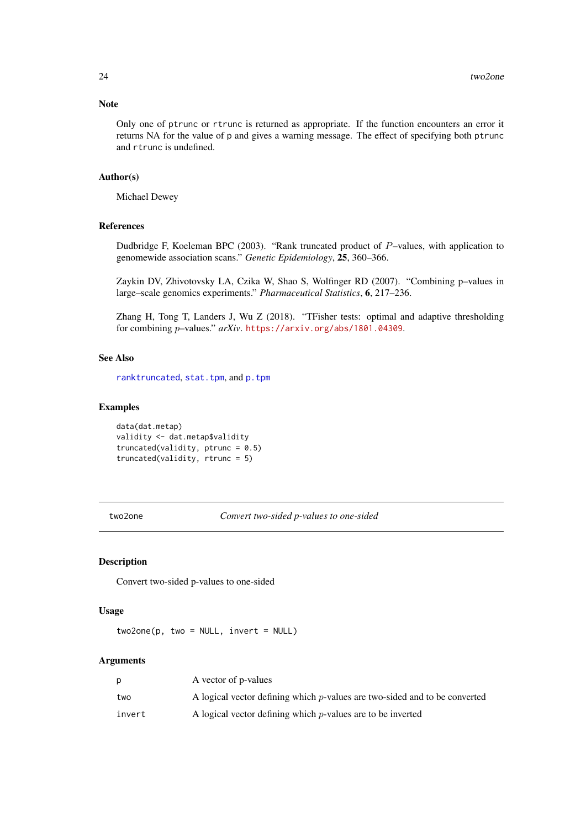#### <span id="page-23-0"></span>Note

Only one of ptrunc or rtrunc is returned as appropriate. If the function encounters an error it returns NA for the value of p and gives a warning message. The effect of specifying both ptrunc and rtrunc is undefined.

# Author(s)

Michael Dewey

# References

Dudbridge F, Koeleman BPC (2003). "Rank truncated product of P–values, with application to genomewide association scans." *Genetic Epidemiology*, 25, 360–366.

Zaykin DV, Zhivotovsky LA, Czika W, Shao S, Wolfinger RD (2007). "Combining p–values in large–scale genomics experiments." *Pharmaceutical Statistics*, 6, 217–236.

Zhang H, Tong T, Landers J, Wu Z (2018). "TFisher tests: optimal and adaptive thresholding for combining p–values." *arXiv*. <https://arxiv.org/abs/1801.04309>.

#### See Also

[ranktruncated](#page-0-0), [stat.tpm](#page-0-0), and [p.tpm](#page-0-0)

# Examples

```
data(dat.metap)
validity <- dat.metap$validity
truncated(validity, ptrunc = 0.5)
truncated(validity, rtrunc = 5)
```
two2one *Convert two-sided p-values to one-sided*

#### Description

Convert two-sided p-values to one-sided

# Usage

 $two2one(p, two = NULL, invert = NULL)$ 

# Arguments

| p      | A vector of p-values                                                          |
|--------|-------------------------------------------------------------------------------|
| two    | A logical vector defining which $p$ -values are two-sided and to be converted |
| invert | A logical vector defining which $p$ -values are to be inverted                |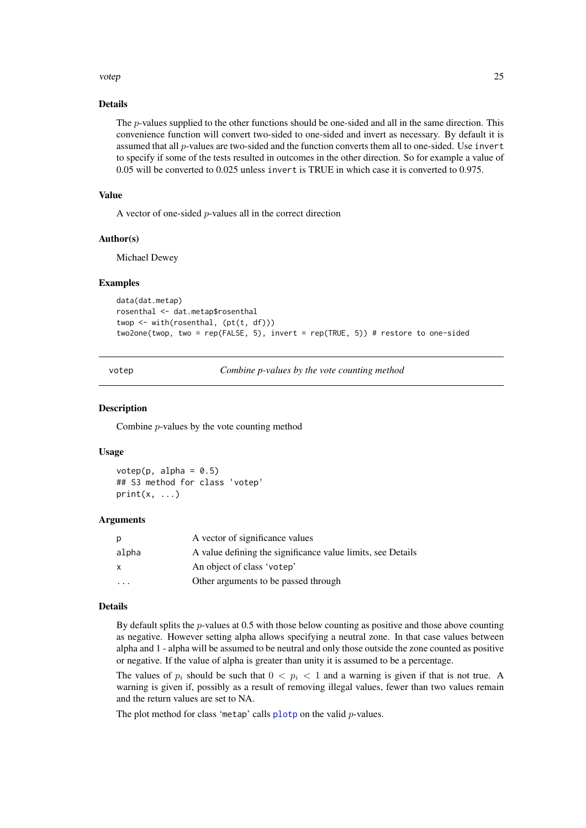#### <span id="page-24-0"></span>votep 25

## Details

The p-values supplied to the other functions should be one-sided and all in the same direction. This convenience function will convert two-sided to one-sided and invert as necessary. By default it is assumed that all p-values are two-sided and the function converts them all to one-sided. Use invert to specify if some of the tests resulted in outcomes in the other direction. So for example a value of 0.05 will be converted to 0.025 unless invert is TRUE in which case it is converted to 0.975.

# Value

A vector of one-sided p-values all in the correct direction

## Author(s)

Michael Dewey

### Examples

```
data(dat.metap)
rosenthal <- dat.metap$rosenthal
twop <- with(rosenthal, (pt(t, df)))
two2one(twop, two = rep(FALSE, 5), invert = rep(TRUE, 5)) # restore to one-sided
```
votep *Combine p-values by the vote counting method*

#### **Description**

Combine p-values by the vote counting method

#### Usage

votep(p, alpha =  $0.5$ ) ## S3 method for class 'votep'  $print(x, \ldots)$ 

#### Arguments

| p        | A vector of significance values                             |
|----------|-------------------------------------------------------------|
| alpha    | A value defining the significance value limits, see Details |
| X        | An object of class 'votep'                                  |
| $\cdots$ | Other arguments to be passed through                        |

# Details

By default splits the  $p$ -values at 0.5 with those below counting as positive and those above counting as negative. However setting alpha allows specifying a neutral zone. In that case values between alpha and 1 - alpha will be assumed to be neutral and only those outside the zone counted as positive or negative. If the value of alpha is greater than unity it is assumed to be a percentage.

The values of  $p_i$  should be such that  $0 < p_i < 1$  and a warning is given if that is not true. A warning is given if, possibly as a result of removing illegal values, fewer than two values remain and the return values are set to NA.

The plot method for class 'metap' calls  $\frac{p}{q}$  on the valid p-values.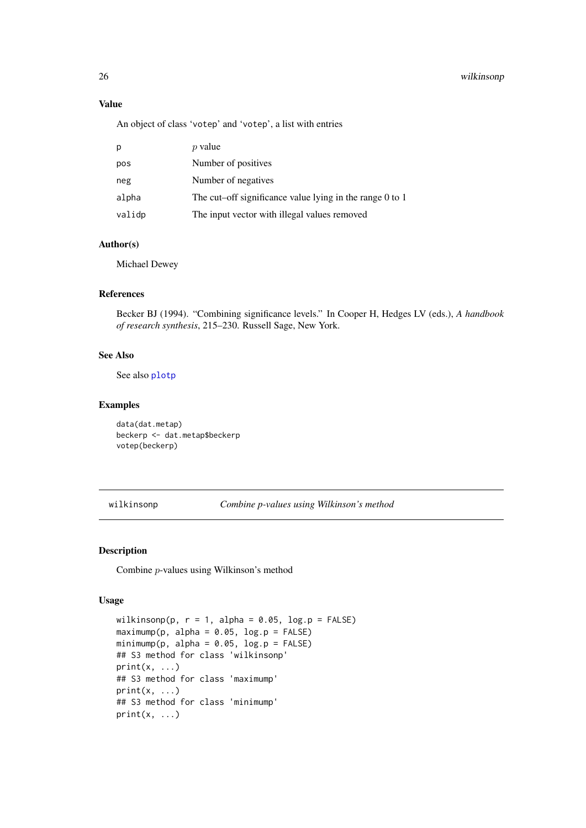# Value

An object of class 'votep' and 'votep', a list with entries

| p      | <i>p</i> value                                               |
|--------|--------------------------------------------------------------|
| pos    | Number of positives                                          |
| neg    | Number of negatives                                          |
| alpha  | The cut–off significance value lying in the range $0$ to $1$ |
| validp | The input vector with illegal values removed                 |

# Author(s)

Michael Dewey

# References

Becker BJ (1994). "Combining significance levels." In Cooper H, Hedges LV (eds.), *A handbook of research synthesis*, 215–230. Russell Sage, New York.

#### See Also

See also [plotp](#page-14-1)

# Examples

data(dat.metap) beckerp <- dat.metap\$beckerp votep(beckerp)

wilkinsonp *Combine p-values using Wilkinson's method*

# Description

Combine p-values using Wilkinson's method

# Usage

```
wilkinsonp(p, r = 1, alpha = 0.05, log.p = FALSE)
maximump(p, alpha = 0.05, log.p = FALSE)minimump(p, alpha = 0.05, log.p = FALSE)
## S3 method for class 'wilkinsonp'
print(x, \ldots)## S3 method for class 'maximump'
print(x, \ldots)## S3 method for class 'minimump'
print(x, \ldots)
```
<span id="page-25-0"></span>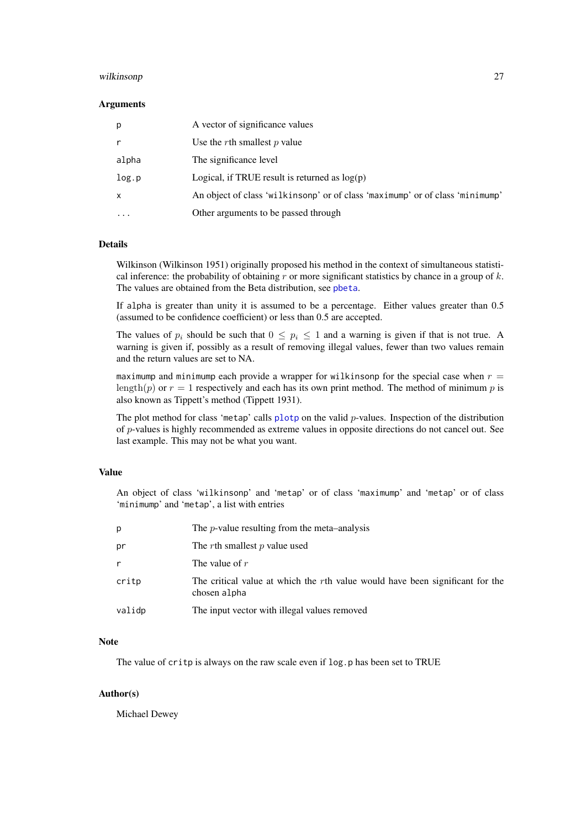#### <span id="page-26-0"></span>wilkinsonp 27

#### Arguments

| p            | A vector of significance values                                               |
|--------------|-------------------------------------------------------------------------------|
| r            | Use the $r$ th smallest $p$ value                                             |
| alpha        | The significance level                                                        |
| log.p        | Logical, if TRUE result is returned as $log(p)$                               |
| $\mathsf{x}$ | An object of class 'wilkinsonp' or of class 'maximump' or of class 'minimump' |
|              | Other arguments to be passed through                                          |

# Details

Wilkinson (Wilkinson 1951) originally proposed his method in the context of simultaneous statistical inference: the probability of obtaining  $r$  or more significant statistics by chance in a group of  $k$ . The values are obtained from the Beta distribution, see [pbeta](#page-0-0).

If alpha is greater than unity it is assumed to be a percentage. Either values greater than 0.5 (assumed to be confidence coefficient) or less than 0.5 are accepted.

The values of  $p_i$  should be such that  $0 \leq p_i \leq 1$  and a warning is given if that is not true. A warning is given if, possibly as a result of removing illegal values, fewer than two values remain and the return values are set to NA.

maximump and minimump each provide a wrapper for wilkinsonp for the special case when  $r =$ length(p) or  $r = 1$  respectively and each has its own print method. The method of minimum p is also known as Tippett's method (Tippett 1931).

The plot method for class 'metap' calls  $plotp$  on the valid  $p$ -values. Inspection of the distribution of p-values is highly recommended as extreme values in opposite directions do not cancel out. See last example. This may not be what you want.

# Value

An object of class 'wilkinsonp' and 'metap' or of class 'maximump' and 'metap' or of class 'minimump' and 'metap', a list with entries

| p            | The $p$ -value resulting from the meta-analysis                                               |
|--------------|-----------------------------------------------------------------------------------------------|
| pr           | The rth smallest p value used                                                                 |
| $\mathsf{r}$ | The value of $r$                                                                              |
| critp        | The critical value at which the rth value would have been significant for the<br>chosen alpha |
| validp       | The input vector with illegal values removed                                                  |

# Note

The value of critp is always on the raw scale even if log.p has been set to TRUE

# Author(s)

Michael Dewey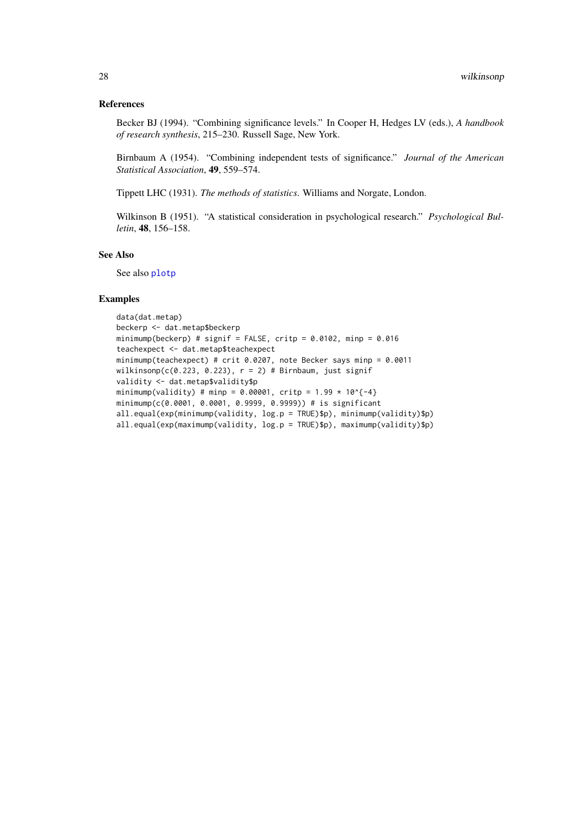# <span id="page-27-0"></span>References

Becker BJ (1994). "Combining significance levels." In Cooper H, Hedges LV (eds.), *A handbook of research synthesis*, 215–230. Russell Sage, New York.

Birnbaum A (1954). "Combining independent tests of significance." *Journal of the American Statistical Association*, 49, 559–574.

Tippett LHC (1931). *The methods of statistics*. Williams and Norgate, London.

Wilkinson B (1951). "A statistical consideration in psychological research." *Psychological Bulletin*, 48, 156–158.

# See Also

See also [plotp](#page-14-1)

# Examples

```
data(dat.metap)
beckerp <- dat.metap$beckerp
minimump(beckerp) # signif = FALSE, critp = 0.0102, minp = 0.016
teachexpect <- dat.metap$teachexpect
minimump(teachexpect) # crit 0.0207, note Becker says minp = 0.0011
wilkinsonp(c(0.223, 0.223), r = 2) # Birnbaum, just signif
validity <- dat.metap$validity$p
minimump(validity) # minp = 0.00001, critp = 1.99 * 10^{-4}
minimump(c(0.0001, 0.0001, 0.9999, 0.9999)) # is significant
all.equal(exp(minimump(validity, log.p = TRUE)$p), minimump(validity)$p)
all.equal(exp(maximump(validity, log.p = TRUE)$p), maximump(validity)$p)
```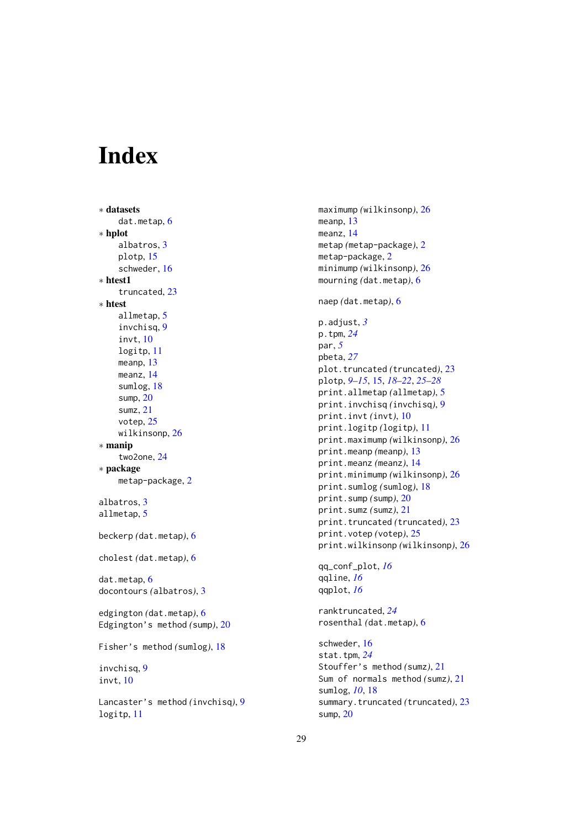# <span id="page-28-0"></span>Index

```
∗ datasets
    dat.metap, 6
∗ hplot
    albatros, 3
    plotp, 15
    schweder, 16
∗ htest1
    truncated, 23
∗ htest
    allmetap, 5
    invchisq, 9
    invt, 10
    logitp, 11
    meanp, 13
    meanz, 14
    sumlog, 18
    sump, 20
    sumz, 21
    votep, 25
    wilkinsonp, 26
∗ manip
    two2one, 24
∗ package
    metap-package, 2
albatros, 3
allmetap, 5
beckerp (dat.metap), 6
cholest (dat.metap), 6
dat.metap, 6
docontours (albatros), 3
edgington (dat.metap), 6
Edgington's method (sump), 20
Fisher's method (sumlog), 18
invchisq, 9
invt, 10
Lancaster's method (invchisq), 9
logitp, 11
```
maximump *(*wilkinsonp*)*, [26](#page-25-0) meanp, [13](#page-12-0) meanz, [14](#page-13-0) metap *(*metap-package*)*, [2](#page-1-0) metap-package, [2](#page-1-0) minimump *(*wilkinsonp*)*, [26](#page-25-0) mourning *(*dat.metap*)*, [6](#page-5-0) naep *(*dat.metap*)*, [6](#page-5-0) p.adjust, *[3](#page-2-0)* p.tpm, *[24](#page-23-0)* par, *[5](#page-4-0)* pbeta, *[27](#page-26-0)* plot.truncated *(*truncated*)*, [23](#page-22-0) plotp, *[9–](#page-8-0)[15](#page-14-0)*, [15,](#page-14-0) *[18](#page-17-0)[–22](#page-21-0)*, *[25](#page-24-0)[–28](#page-27-0)* print.allmetap *(*allmetap*)*, [5](#page-4-0) print.invchisq *(*invchisq*)*, [9](#page-8-0) print.invt *(*invt*)*, [10](#page-9-0) print.logitp *(*logitp*)*, [11](#page-10-0) print.maximump *(*wilkinsonp*)*, [26](#page-25-0) print.meanp *(*meanp*)*, [13](#page-12-0) print.meanz *(*meanz*)*, [14](#page-13-0) print.minimump *(*wilkinsonp*)*, [26](#page-25-0) print.sumlog *(*sumlog*)*, [18](#page-17-0) print.sump *(*sump*)*, [20](#page-19-0) print.sumz *(*sumz*)*, [21](#page-20-0) print.truncated *(*truncated*)*, [23](#page-22-0) print.votep *(*votep*)*, [25](#page-24-0) print.wilkinsonp *(*wilkinsonp*)*, [26](#page-25-0) qq\_conf\_plot, *[16](#page-15-0)* qqline, *[16](#page-15-0)* qqplot, *[16](#page-15-0)* ranktruncated, *[24](#page-23-0)* rosenthal *(*dat.metap*)*, [6](#page-5-0) schweder, [16](#page-15-0) stat.tpm, *[24](#page-23-0)* Stouffer's method *(*sumz*)*, [21](#page-20-0) Sum of normals method *(*sumz*)*, [21](#page-20-0) sumlog, *[10](#page-9-0)*, [18](#page-17-0) summary.truncated *(*truncated*)*, [23](#page-22-0) sump, [20](#page-19-0)